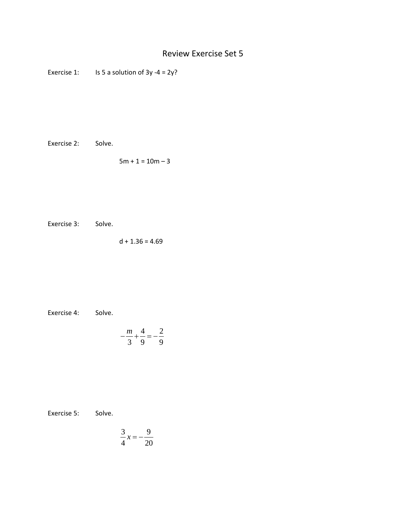## Review Exercise Set 5

Exercise 1: Is 5 a solution of  $3y -4 = 2y$ ?

Exercise 2: Solve.

 $5m + 1 = 10m - 3$ 

Exercise 3: Solve.

 $d + 1.36 = 4.69$ 

Exercise 4: Solve.

$$
-\frac{m}{3} + \frac{4}{9} = -\frac{2}{9}
$$

Exercise 5: Solve.

$$
\frac{3}{4}x = -\frac{9}{20}
$$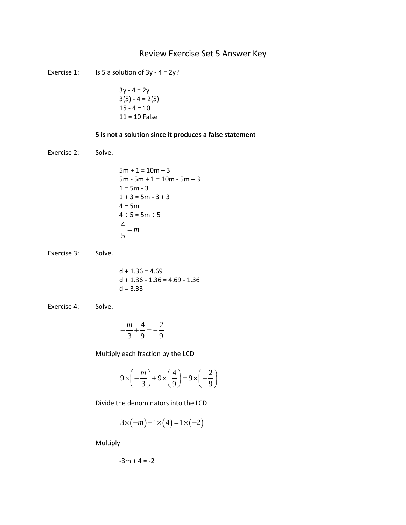## Review Exercise Set 5 Answer Key

Exercise 1: Is 5 a solution of  $3y - 4 = 2y$ ?

$$
3y - 4 = 2y
$$
  
3(5) - 4 = 2(5)  
15 - 4 = 10  
11 = 10 False

## **5 is not a solution since it produces a false statement**

Exercise 2: Solve.

```
5m + 1 = 10m - 35m - 5m + 1 = 10m - 5m - 31 = 5m - 31 + 3 = 5m - 3 + 34 = 5m4 \div 5 = 5m \div 5\frac{4}{5} = m
```
Exercise 3: Solve.

$$
d + 1.36 = 4.69
$$
  

$$
d + 1.36 - 1.36 = 4.69 - 1.36
$$
  

$$
d = 3.33
$$

Exercise 4: Solve.

$$
-\frac{m}{3} + \frac{4}{9} = -\frac{2}{9}
$$

Multiply each fraction by the LCD

$$
9 \times \left(-\frac{m}{3}\right) + 9 \times \left(\frac{4}{9}\right) = 9 \times \left(-\frac{2}{9}\right)
$$

Divide the denominators into the LCD

$$
3 \times (-m) + 1 \times (4) = 1 \times (-2)
$$

Multiply

$$
-3m + 4 = -2
$$